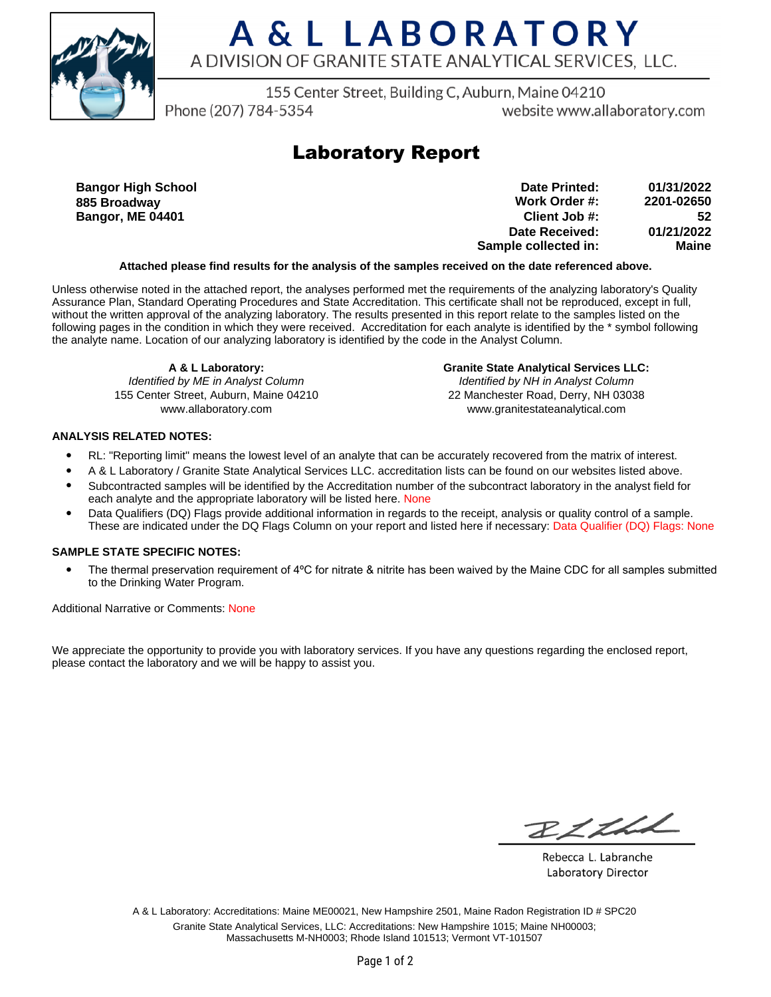

# A & L LABORATORY A DIVISION OF GRANITE STATE ANALYTICAL SERVICES, LLC.

155 Center Street, Building C, Auburn, Maine 04210

Phone (207) 784-5354

website www.allaboratory.com

## **Laboratory Report**

**Bangor High School 885 Broadway Bangor, ME 04401**

**Work Order #: Client Job #: Date Received: Sample collected in: 2201-02650 52 01/21/2022 Maine Date Printed: 01/31/2022**

### **Attached please find results for the analysis of the samples received on the date referenced above.**

Unless otherwise noted in the attached report, the analyses performed met the requirements of the analyzing laboratory's Quality Assurance Plan, Standard Operating Procedures and State Accreditation. This certificate shall not be reproduced, except in full, without the written approval of the analyzing laboratory. The results presented in this report relate to the samples listed on the following pages in the condition in which they were received. Accreditation for each analyte is identified by the \* symbol following the analyte name. Location of our analyzing laboratory is identified by the code in the Analyst Column.

**A & L Laboratory:** Identified by ME in Analyst Column 155 Center Street, Auburn, Maine 04210 www.allaboratory.com

**Granite State Analytical Services LLC:** Identified by NH in Analyst Column 22 Manchester Road, Derry, NH 03038 www.granitestateanalytical.com

### **ANALYSIS RELATED NOTES:**

- RL: "Reporting limit" means the lowest level of an analyte that can be accurately recovered from the matrix of interest.
- A & L Laboratory / Granite State Analytical Services LLC. accreditation lists can be found on our websites listed above.
- Subcontracted samples will be identified by the Accreditation number of the subcontract laboratory in the analyst field for each analyte and the appropriate laboratory will be listed here. None
- Data Qualifiers (DQ) Flags provide additional information in regards to the receipt, analysis or quality control of a sample. These are indicated under the DQ Flags Column on your report and listed here if necessary: Data Qualifier (DQ) Flags: None

### **SAMPLE STATE SPECIFIC NOTES:**

• The thermal preservation requirement of 4°C for nitrate & nitrite has been waived by the Maine CDC for all samples submitted to the Drinking Water Program.

Additional Narrative or Comments: None

We appreciate the opportunity to provide you with laboratory services. If you have any questions regarding the enclosed report, please contact the laboratory and we will be happy to assist you.

RICHL

Rebecca L. Labranche Laboratory Director

A & L Laboratory: Accreditations: Maine ME00021, New Hampshire 2501, Maine Radon Registration ID # SPC20 Granite State Analytical Services, LLC: Accreditations: New Hampshire 1015; Maine NH00003; Massachusetts M-NH0003; Rhode Island 101513; Vermont VT-101507